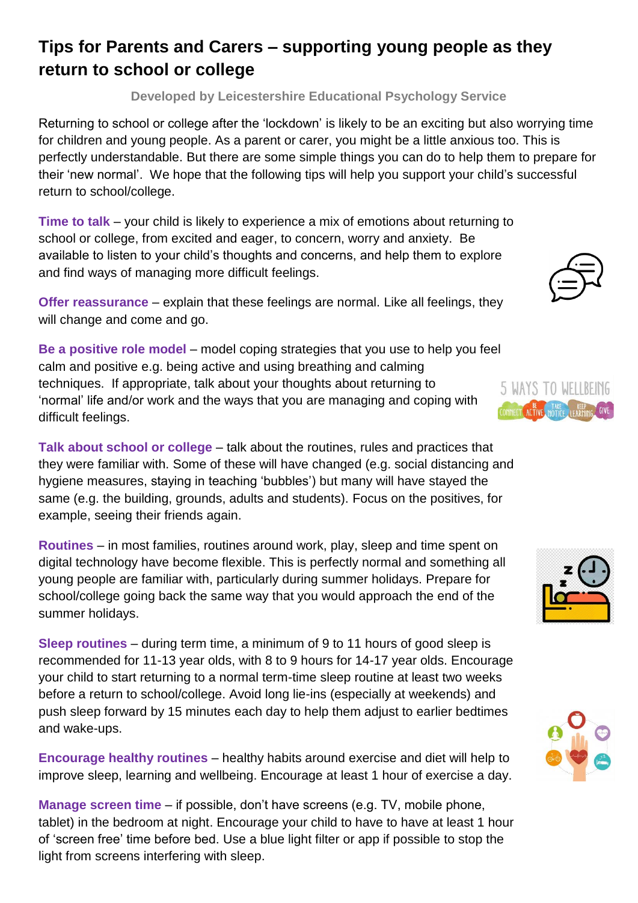## **Tips for Parents and Carers – supporting young people as they return to school or college**

**Developed by Leicestershire Educational Psychology Service**

Returning to school or college after the 'lockdown' is likely to be an exciting but also worrying time for children and young people. As a parent or carer, you might be a little anxious too. This is perfectly understandable. But there are some simple things you can do to help them to prepare for their 'new normal'. We hope that the following tips will help you support your child's successful return to school/college.

**Time to talk** – your child is likely to experience a mix of emotions about returning to school or college, from excited and eager, to concern, worry and anxiety. Be available to listen to your child's thoughts and concerns, and help them to explore and find ways of managing more difficult feelings.

**Offer reassurance** – explain that these feelings are normal. Like all feelings, they will change and come and go.

**Be a positive role model** – model coping strategies that you use to help you feel calm and positive e.g. being active and using breathing and calming techniques. If appropriate, talk about your thoughts about returning to 'normal' life and/or work and the ways that you are managing and coping with difficult feelings.

**Talk about school or college** – talk about the routines, rules and practices that they were familiar with. Some of these will have changed (e.g. social distancing and hygiene measures, staying in teaching 'bubbles') but many will have stayed the same (e.g. the building, grounds, adults and students). Focus on the positives, for example, seeing their friends again.

**Routines** – in most families, routines around work, play, sleep and time spent on digital technology have become flexible. This is perfectly normal and something all young people are familiar with, particularly during summer holidays. Prepare for school/college going back the same way that you would approach the end of the summer holidays.

**Sleep routines** – during term time, a minimum of 9 to 11 hours of good sleep is recommended for 11-13 year olds, with 8 to 9 hours for 14-17 year olds. Encourage your child to start returning to a normal term-time sleep routine at least two weeks before a return to school/college. Avoid long lie-ins (especially at weekends) and push sleep forward by 15 minutes each day to help them adjust to earlier bedtimes and wake-ups.

**Encourage healthy routines** – healthy habits around exercise and diet will help to improve sleep, learning and wellbeing. Encourage at least 1 hour of exercise a day.

**Manage screen time** – if possible, don't have screens (e.g. TV, mobile phone, tablet) in the bedroom at night. Encourage your child to have to have at least 1 hour of 'screen free' time before bed. Use a blue light filter or app if possible to stop the light from screens interfering with sleep.







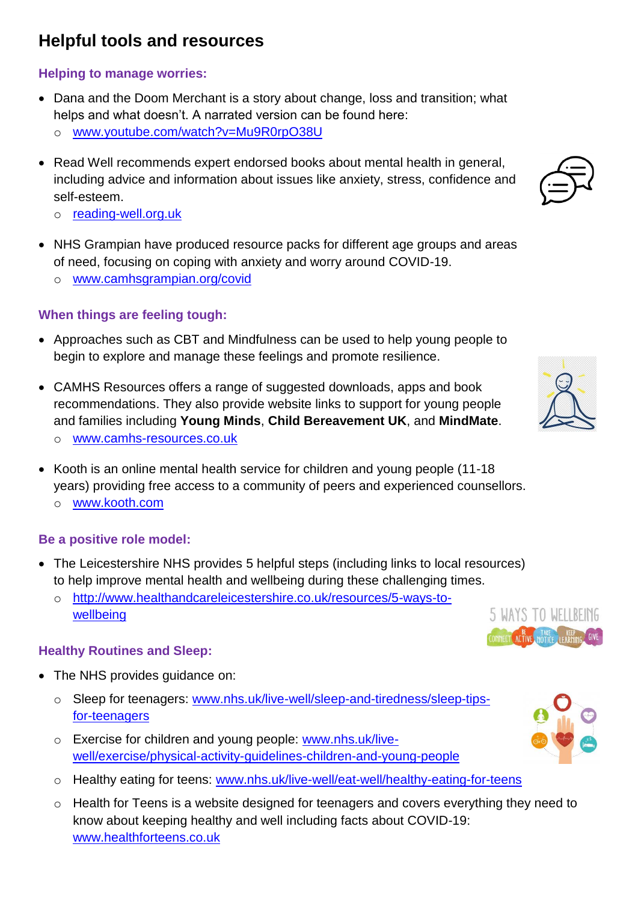# **Helpful tools and resources**

#### **Helping to manage worries:**

- Dana and the Doom Merchant is a story about change, loss and transition; what helps and what doesn't. A narrated version can be found here:
	- o [www.youtube.com/watch?v=Mu9R0rpO38U](https://www.youtube.com/watch?v=Mu9R0rpO38U)
- Read Well recommends expert endorsed books about mental health in general, including advice and information about issues like anxiety, stress, confidence and self-esteem.
	- o [reading-well.org.uk](https://reading-well.org.uk/)
- NHS Grampian have produced resource packs for different age groups and areas of need, focusing on coping with anxiety and worry around COVID-19.
	- o [www.camhsgrampian.org/covid](https://www.camhsgrampian.org/covid)

### **When things are feeling tough:**

- Approaches such as CBT and Mindfulness can be used to help young people to begin to explore and manage these feelings and promote resilience.
- CAMHS Resources offers a range of suggested downloads, apps and book recommendations. They also provide website links to support for young people and families including **Young Minds**, **Child Bereavement UK**, and **MindMate**. o [www.camhs-resources.co.uk](https://www.camhs-resources.co.uk/)
- Kooth is an online mental health service for children and young people (11-18 years) providing free access to a community of peers and experienced counsellors. o [www.kooth.com](https://www.kooth.com/)

#### **Be a positive role model:**

- The Leicestershire NHS provides 5 helpful steps (including links to local resources) to help improve mental health and wellbeing during these challenging times.
	- o [http://www.healthandcareleicestershire.co.uk/resources/5-ways-to](http://www.healthandcareleicestershire.co.uk/resources/5-ways-to-wellbeing)[wellbeing](http://www.healthandcareleicestershire.co.uk/resources/5-ways-to-wellbeing)

#### **Healthy Routines and Sleep:**

- The NHS provides guidance on:
	- o Sleep for teenagers: www.nhs.uk/live-well/sleep-and-tiredness/sleep-tipsfor-teenagers
	- o Exercise for children and young people: www.nhs.uk/livewell/exercise/physical-activity-guidelines-children-and-young-people
	- o Healthy eating for teens: [www.nhs.uk/live-well/eat-well/healthy-eating-for-teens](http://www.nhs.uk/live-well/eat-well/healthy-eating-for-teens)
	- o Health for Teens is a website designed for teenagers and covers everything they need to know about keeping healthy and well including facts about COVID-19: [www.healthforteens.co.uk](http://www.healthforteens.co.uk/)